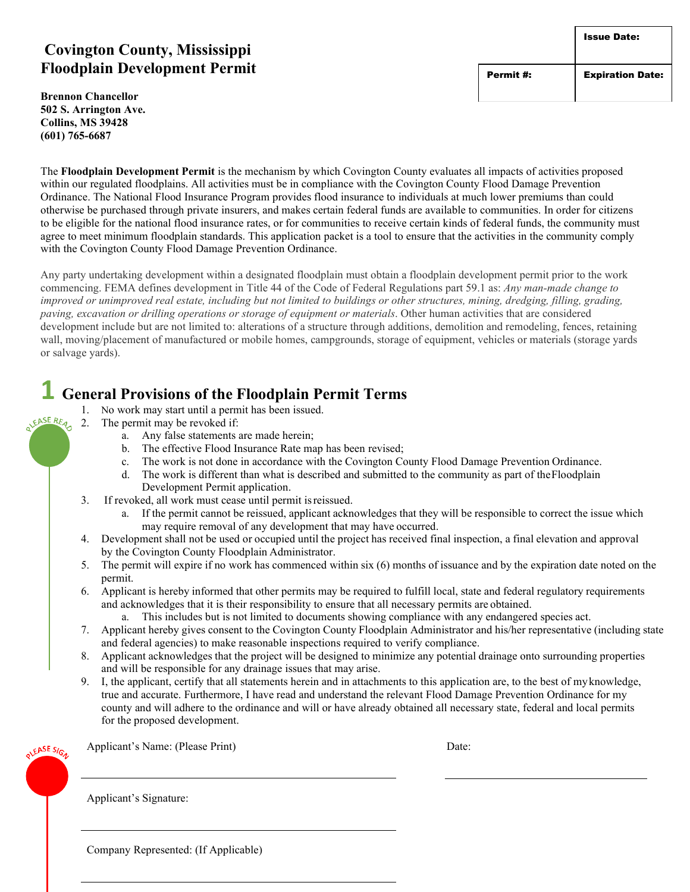#### **Covington County, Mississippi Floodplain Development Permit**

**Brennon Chancellor 502 S. Arrington Ave. Collins, MS 39428 (601) 765-6687**

The **Floodplain Development Permit** is the mechanism by which Covington County evaluates all impacts of activities proposed within our regulated floodplains. All activities must be in compliance with the Covington County Flood Damage Prevention Ordinance. The National Flood Insurance Program provides flood insurance to individuals at much lower premiums than could otherwise be purchased through private insurers, and makes certain federal funds are available to communities. In order for citizens to be eligible for the national flood insurance rates, or for communities to receive certain kinds of federal funds, the community must agree to meet minimum floodplain standards. This application packet is a tool to ensure that the activities in the community comply with the Covington County Flood Damage Prevention Ordinance.

Any party undertaking development within a designated floodplain must obtain a floodplain development permit prior to the work commencing. FEMA defines development in Title 44 of the Code of Federal Regulations part 59.1 as: *Any man-made change to improved or unimproved real estate, including but not limited to buildings or other structures, mining, dredging, filling, grading, paving, excavation or drilling operations or storage of equipment or materials*. Other human activities that are considered development include but are not limited to: alterations of a structure through additions, demolition and remodeling, fences, retaining wall, moving/placement of manufactured or mobile homes, campgrounds, storage of equipment, vehicles or materials (storage yards or salvage yards).

### **1 General Provisions of the Floodplain Permit Terms**

- 1. No work may start until a permit has been issued. JEASE REA
	- 2. The permit may be revoked if:
		- a. Any false statements are made herein;
			- b. The effective Flood Insurance Rate map has been revised;
			- c. The work is not done in accordance with the Covington County Flood Damage Prevention Ordinance.
			- d. The work is different than what is described and submitted to the community as part of theFloodplain Development Permit application.
	- 3. If revoked, all work must cease until permit isreissued.
		- a. If the permit cannot be reissued, applicant acknowledges that they will be responsible to correct the issue which may require removal of any development that may have occurred.
	- 4. Development shall not be used or occupied until the project has received final inspection, a final elevation and approval by the Covington County Floodplain Administrator.
	- 5. The permit will expire if no work has commenced within six (6) months of issuance and by the expiration date noted on the permit.
	- 6. Applicant is hereby informed that other permits may be required to fulfill local, state and federal regulatory requirements and acknowledges that it is their responsibility to ensure that all necessary permits are obtained.
		- a. This includes but is not limited to documents showing compliance with any endangered species act.
	- 7. Applicant hereby gives consent to the Covington County Floodplain Administrator and his/her representative (including state and federal agencies) to make reasonable inspections required to verify compliance.
	- 8. Applicant acknowledges that the project will be designed to minimize any potential drainage onto surrounding properties and will be responsible for any drainage issues that may arise.
	- 9. I, the applicant, certify that all statements herein and in attachments to this application are, to the best of myknowledge, true and accurate. Furthermore, I have read and understand the relevant Flood Damage Prevention Ordinance for my county and will adhere to the ordinance and will or have already obtained all necessary state, federal and local permits for the proposed development.

EASE SIGN

Applicant's Name: (Please Print) Date:

Applicant's Signature:

Company Represented: (If Applicable)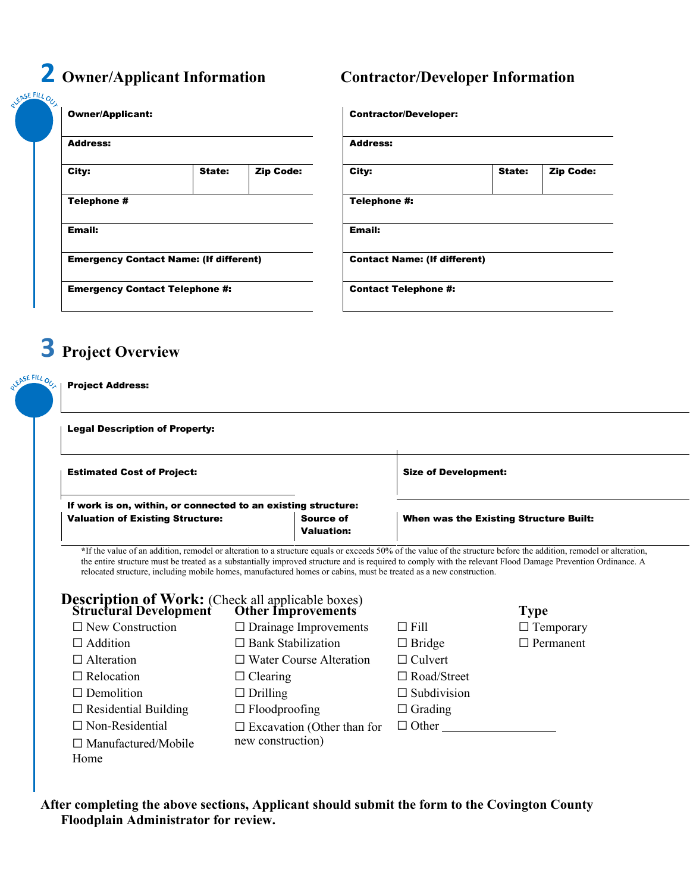# **2 Owner/Applicant Information Contractor/Developer Information**

| <b>Owner/Applicant:</b>                       |        |                  | <b>Contractor/Developer:</b>        |  |
|-----------------------------------------------|--------|------------------|-------------------------------------|--|
| Address:                                      |        |                  | <b>Address:</b>                     |  |
| City:                                         | State: | <b>Zip Code:</b> | City:                               |  |
| Telephone #                                   |        |                  | Telephone #:                        |  |
| <b>Email:</b>                                 |        |                  | Email:                              |  |
| <b>Emergency Contact Name: (If different)</b> |        |                  | <b>Contact Name: (If different)</b> |  |
| <b>Emergency Contact Telephone #:</b>         |        |                  | <b>Contact Telephone #:</b>         |  |

| Owner/Applicant:<br>Address:                  |        | <b>Contractor/Developer:</b>        |               |        |                  |
|-----------------------------------------------|--------|-------------------------------------|---------------|--------|------------------|
|                                               |        | <b>Address:</b>                     |               |        |                  |
| City:                                         | State: | <b>Zip Code:</b>                    | City:         | State: | <b>Zip Code:</b> |
| Telephone #                                   |        |                                     | Telephone #:  |        |                  |
| Email:                                        |        |                                     | <b>Email:</b> |        |                  |
| <b>Emergency Contact Name: (If different)</b> |        | <b>Contact Name: (If different)</b> |               |        |                  |
| <b>Emergency Contact Telephone #:</b>         |        | <b>Contact Telephone #:</b>         |               |        |                  |

# **3 Project Overview**

#### Project Address:

DEASE FILL OUT

Legal Description of Property:

| <b>Estimated Cost of Project:</b>                             |                                       | <b>Size of Development:</b>            |
|---------------------------------------------------------------|---------------------------------------|----------------------------------------|
| If work is on, within, or connected to an existing structure: |                                       |                                        |
| <b>Valuation of Existing Structure:</b>                       | <b>Source of</b><br><b>Valuation:</b> | When was the Existing Structure Built: |

**\***If the value of an addition, remodel or alteration to a structure equals or exceeds 50% of the value of the structure before the addition, remodel or alteration, the entire structure must be treated as a substantially improved structure and is required to comply with the relevant Flood Damage Prevention Ordinance. A relocated structure, including mobile homes, manufactured homes or cabins, must be treated as a new construction.

## **Description of Work:** (Check all applicable boxes)

| <b>Structural Development</b> | <b>Other Improvements</b>         |                    | <b>Type</b>      |
|-------------------------------|-----------------------------------|--------------------|------------------|
| $\Box$ New Construction       | $\Box$ Drainage Improvements      | $\Box$ Fill        | $\Box$ Temporary |
| $\Box$ Addition               | $\Box$ Bank Stabilization         | $\Box$ Bridge      | $\Box$ Permanent |
| $\Box$ Alteration             | $\Box$ Water Course Alteration    | $\Box$ Culvert     |                  |
| $\Box$ Relocation             | $\Box$ Clearing                   | $\Box$ Road/Street |                  |
| $\Box$ Demolition             | $\Box$ Drilling                   | $\Box$ Subdivision |                  |
| $\Box$ Residential Building   | $\Box$ Floodproofing              | $\Box$ Grading     |                  |
| $\Box$ Non-Residential        | $\Box$ Excavation (Other than for | $\Box$ Other       |                  |
| $\Box$ Manufactured/Mobile    | new construction)                 |                    |                  |
| Home                          |                                   |                    |                  |

**After completing the above sections, Applicant should submit the form to the Covington County Floodplain Administrator for review.**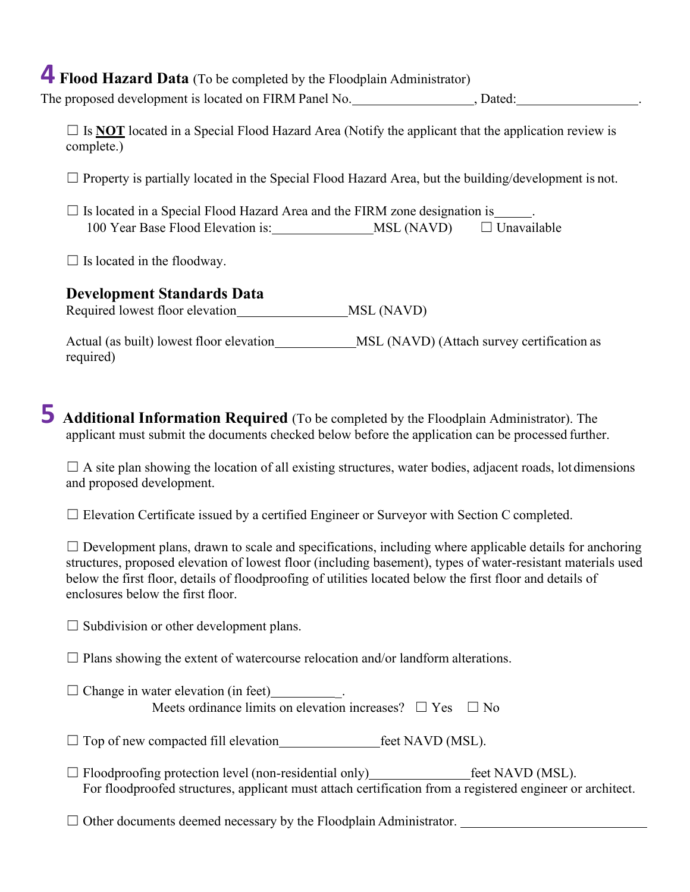# **4 Flood Hazard Data** (To be completed by the Floodplain Administrator)

The proposed development is located on FIRM Panel No. 5. (2014), Dated:

 $\Box$  Is **NOT** located in a Special Flood Hazard Area (Notify the applicant that the application review is complete.)

 $\Box$  Property is partially located in the Special Flood Hazard Area, but the building/development is not.

 $\Box$  Is located in a Special Flood Hazard Area and the FIRM zone designation is 100 Year Base Flood Elevation is: MSL (NAVD) ☐ Unavailable

 $\Box$  Is located in the floodway.

#### **Development Standards Data**

Required lowest floor elevation MSL (NAVD)

Actual (as built) lowest floor elevation MSL (NAVD) (Attach survey certification as required)

# **5 Additional Information Required** (To be completed by the Floodplain Administrator). The applicant must submit the documents checked below before the application can be processed further.

 $\Box$  A site plan showing the location of all existing structures, water bodies, adjacent roads, lot dimensions and proposed development.

 $\Box$  Elevation Certificate issued by a certified Engineer or Surveyor with Section C completed.

 $\Box$  Development plans, drawn to scale and specifications, including where applicable details for anchoring structures, proposed elevation of lowest floor (including basement), types of water-resistant materials used below the first floor, details of floodproofing of utilities located below the first floor and details of enclosures below the first floor.

 $\Box$  Subdivision or other development plans.

 $\Box$  Plans showing the extent of watercourse relocation and/or landform alterations.

| $\Box$ Change in water elevation (in feet)                          |  |
|---------------------------------------------------------------------|--|
| Meets ordinance limits on elevation increases? $\Box$ Yes $\Box$ No |  |

 $\Box$  Top of new compacted fill elevation feet NAVD (MSL).

☐ Floodproofing protection level (non-residential only) feet NAVD (MSL). For floodproofed structures, applicant must attach certification from a registered engineer or architect.

 $\Box$  Other documents deemed necessary by the Floodplain Administrator.